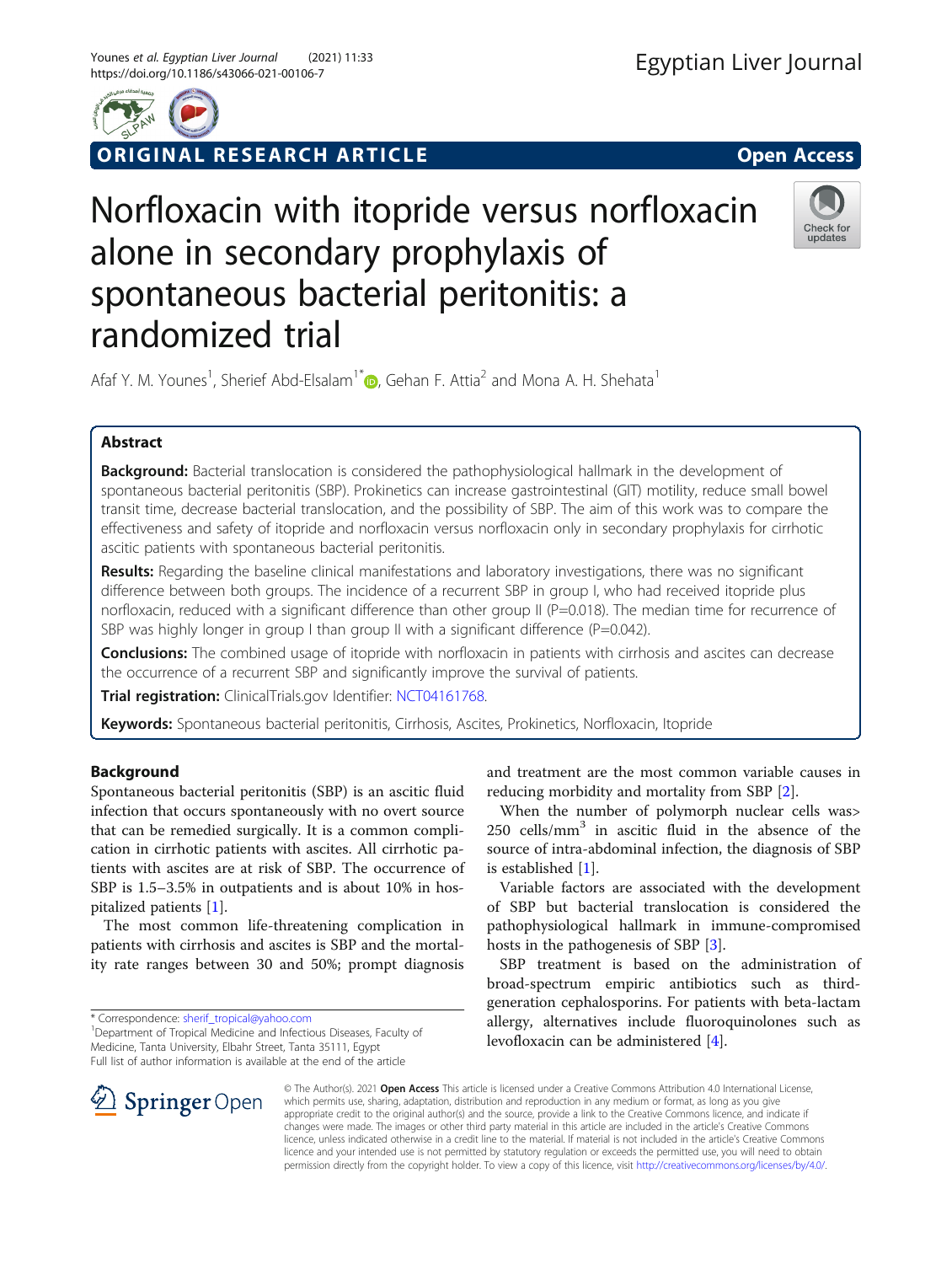

ORIGINAL RESEARCH ARTICLE **EXECUTED ACCESS** 

# Norfloxacin with itopride versus norfloxacin alone in secondary prophylaxis of spontaneous bacterial peritonitis: a randomized trial



Afaf Y. M. Younes<sup>1</sup>[,](http://orcid.org/0000-0003-4366-2218) Sherief Abd-Elsalam<sup>1\*</sup> <sub>(Co</sub>, Gehan F. Attia<sup>2</sup> and Mona A. H. Shehata<sup>1</sup>

# Abstract

Background: Bacterial translocation is considered the pathophysiological hallmark in the development of spontaneous bacterial peritonitis (SBP). Prokinetics can increase gastrointestinal (GIT) motility, reduce small bowel transit time, decrease bacterial translocation, and the possibility of SBP. The aim of this work was to compare the effectiveness and safety of itopride and norfloxacin versus norfloxacin only in secondary prophylaxis for cirrhotic ascitic patients with spontaneous bacterial peritonitis.

Results: Regarding the baseline clinical manifestations and laboratory investigations, there was no significant difference between both groups. The incidence of a recurrent SBP in group I, who had received itopride plus norfloxacin, reduced with a significant difference than other group II (P=0.018). The median time for recurrence of SBP was highly longer in group I than group II with a significant difference (P=0.042).

Conclusions: The combined usage of itopride with norfloxacin in patients with cirrhosis and ascites can decrease the occurrence of a recurrent SBP and significantly improve the survival of patients.

Trial registration: ClinicalTrials.gov Identifier: [NCT04161768](https://clinicaltrials.gov/ct2/show/NCT04161768).

Keywords: Spontaneous bacterial peritonitis, Cirrhosis, Ascites, Prokinetics, Norfloxacin, Itopride

# Background

Spontaneous bacterial peritonitis (SBP) is an ascitic fluid infection that occurs spontaneously with no overt source that can be remedied surgically. It is a common complication in cirrhotic patients with ascites. All cirrhotic patients with ascites are at risk of SBP. The occurrence of SBP is 1.5–3.5% in outpatients and is about 10% in hospitalized patients [\[1](#page-6-0)].

The most common life-threatening complication in patients with cirrhosis and ascites is SBP and the mortality rate ranges between 30 and 50%; prompt diagnosis

\* Correspondence: [sherif\\_tropical@yahoo.com](mailto:sherif_tropical@yahoo.com) <sup>1</sup>

and treatment are the most common variable causes in reducing morbidity and mortality from SBP [[2\]](#page-6-0).

When the number of polymorph nuclear cells was>  $250$  cells/mm<sup>3</sup> in ascitic fluid in the absence of the source of intra-abdominal infection, the diagnosis of SBP is established [[1\]](#page-6-0).

Variable factors are associated with the development of SBP but bacterial translocation is considered the pathophysiological hallmark in immune-compromised hosts in the pathogenesis of SBP [\[3](#page-6-0)].

SBP treatment is based on the administration of broad-spectrum empiric antibiotics such as thirdgeneration cephalosporins. For patients with beta-lactam allergy, alternatives include fluoroquinolones such as levofloxacin can be administered [\[4\]](#page-6-0).



© The Author(s). 2021 Open Access This article is licensed under a Creative Commons Attribution 4.0 International License, which permits use, sharing, adaptation, distribution and reproduction in any medium or format, as long as you give appropriate credit to the original author(s) and the source, provide a link to the Creative Commons licence, and indicate if changes were made. The images or other third party material in this article are included in the article's Creative Commons licence, unless indicated otherwise in a credit line to the material. If material is not included in the article's Creative Commons licence and your intended use is not permitted by statutory regulation or exceeds the permitted use, you will need to obtain permission directly from the copyright holder. To view a copy of this licence, visit <http://creativecommons.org/licenses/by/4.0/>.

<sup>&</sup>lt;sup>1</sup> Department of Tropical Medicine and Infectious Diseases, Faculty of Medicine, Tanta University, Elbahr Street, Tanta 35111, Egypt Full list of author information is available at the end of the article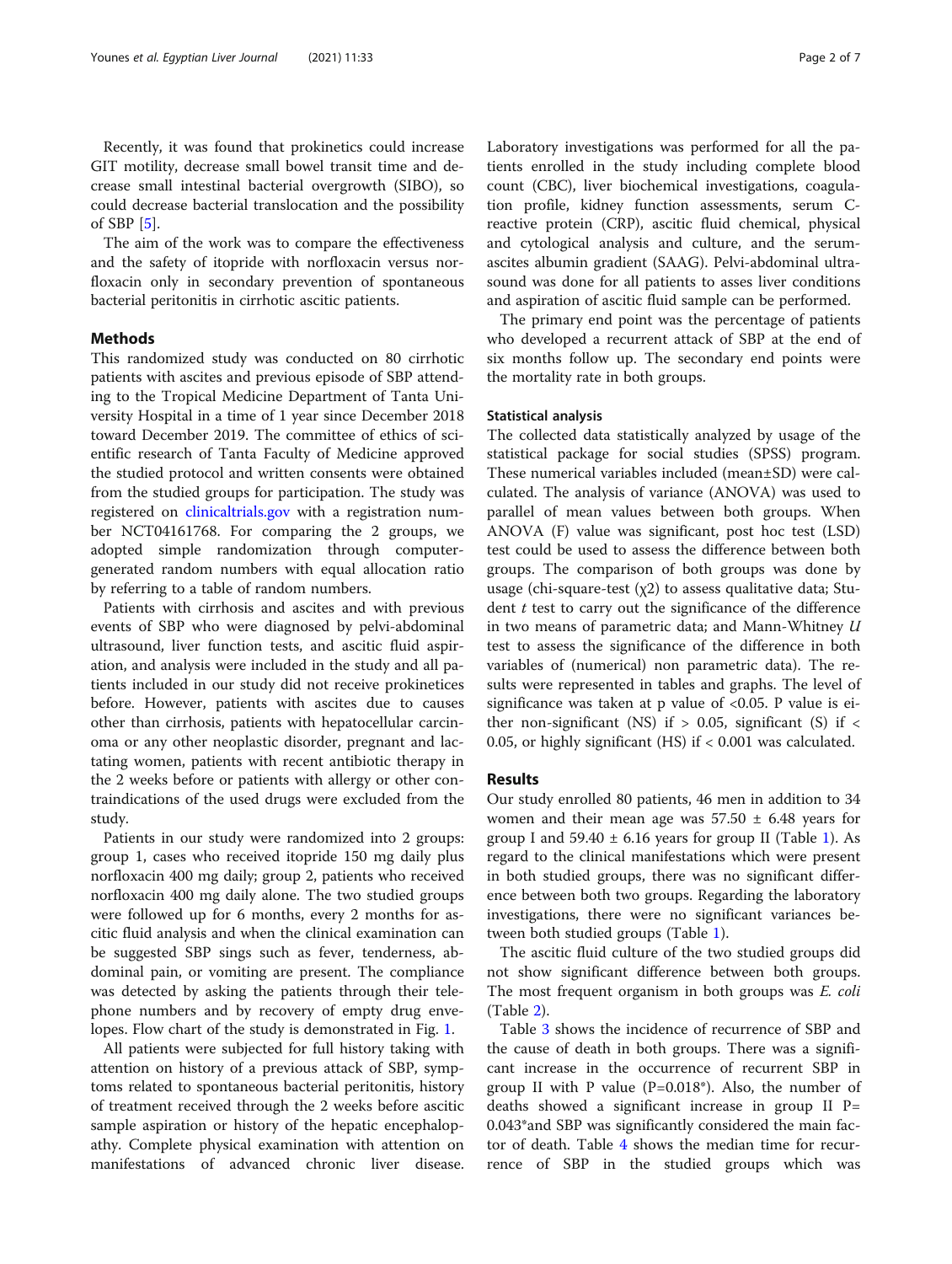Recently, it was found that prokinetics could increase GIT motility, decrease small bowel transit time and decrease small intestinal bacterial overgrowth (SIBO), so could decrease bacterial translocation and the possibility of SBP [\[5](#page-6-0)].

The aim of the work was to compare the effectiveness and the safety of itopride with norfloxacin versus norfloxacin only in secondary prevention of spontaneous bacterial peritonitis in cirrhotic ascitic patients.

# Methods

This randomized study was conducted on 80 cirrhotic patients with ascites and previous episode of SBP attending to the Tropical Medicine Department of Tanta University Hospital in a time of 1 year since December 2018 toward December 2019. The committee of ethics of scientific research of Tanta Faculty of Medicine approved the studied protocol and written consents were obtained from the studied groups for participation. The study was registered on [clinicaltrials.gov](http://clinicaltrials.gov) with a registration number NCT04161768. For comparing the 2 groups, we adopted simple randomization through computergenerated random numbers with equal allocation ratio by referring to a table of random numbers.

Patients with cirrhosis and ascites and with previous events of SBP who were diagnosed by pelvi-abdominal ultrasound, liver function tests, and ascitic fluid aspiration, and analysis were included in the study and all patients included in our study did not receive prokinetices before. However, patients with ascites due to causes other than cirrhosis, patients with hepatocellular carcinoma or any other neoplastic disorder, pregnant and lactating women, patients with recent antibiotic therapy in the 2 weeks before or patients with allergy or other contraindications of the used drugs were excluded from the study.

Patients in our study were randomized into 2 groups: group 1, cases who received itopride 150 mg daily plus norfloxacin 400 mg daily; group 2, patients who received norfloxacin 400 mg daily alone. The two studied groups were followed up for 6 months, every 2 months for ascitic fluid analysis and when the clinical examination can be suggested SBP sings such as fever, tenderness, abdominal pain, or vomiting are present. The compliance was detected by asking the patients through their telephone numbers and by recovery of empty drug envelopes. Flow chart of the study is demonstrated in Fig. [1.](#page-2-0)

All patients were subjected for full history taking with attention on history of a previous attack of SBP, symptoms related to spontaneous bacterial peritonitis, history of treatment received through the 2 weeks before ascitic sample aspiration or history of the hepatic encephalopathy. Complete physical examination with attention on manifestations of advanced chronic liver disease. Laboratory investigations was performed for all the patients enrolled in the study including complete blood count (CBC), liver biochemical investigations, coagulation profile, kidney function assessments, serum Creactive protein (CRP), ascitic fluid chemical, physical and cytological analysis and culture, and the serumascites albumin gradient (SAAG). Pelvi-abdominal ultrasound was done for all patients to asses liver conditions and aspiration of ascitic fluid sample can be performed.

The primary end point was the percentage of patients who developed a recurrent attack of SBP at the end of six months follow up. The secondary end points were the mortality rate in both groups.

## Statistical analysis

The collected data statistically analyzed by usage of the statistical package for social studies (SPSS) program. These numerical variables included (mean±SD) were calculated. The analysis of variance (ANOVA) was used to parallel of mean values between both groups. When ANOVA (F) value was significant, post hoc test (LSD) test could be used to assess the difference between both groups. The comparison of both groups was done by usage (chi-square-test  $(\chi_2)$  to assess qualitative data; Student  $t$  test to carry out the significance of the difference in two means of parametric data; and Mann-Whitney U test to assess the significance of the difference in both variables of (numerical) non parametric data). The results were represented in tables and graphs. The level of significance was taken at p value of <0.05. P value is either non-significant (NS) if  $> 0.05$ , significant (S) if  $<$ 0.05, or highly significant (HS) if < 0.001 was calculated.

# Results

Our study enrolled 80 patients, 46 men in addition to 34 women and their mean age was  $57.50 \pm 6.48$  years for group I and  $59.40 \pm 6.16$  $59.40 \pm 6.16$  $59.40 \pm 6.16$  years for group II (Table 1). As regard to the clinical manifestations which were present in both studied groups, there was no significant difference between both two groups. Regarding the laboratory investigations, there were no significant variances between both studied groups (Table [1\)](#page-3-0).

The ascitic fluid culture of the two studied groups did not show significant difference between both groups. The most frequent organism in both groups was *E. coli* (Table [2\)](#page-3-0).

Table [3](#page-4-0) shows the incidence of recurrence of SBP and the cause of death in both groups. There was a significant increase in the occurrence of recurrent SBP in group II with P value (P=0.018\*). Also, the number of deaths showed a significant increase in group  $II$  P= 0.043\*and SBP was significantly considered the main factor of death. Table [4](#page-4-0) shows the median time for recurrence of SBP in the studied groups which was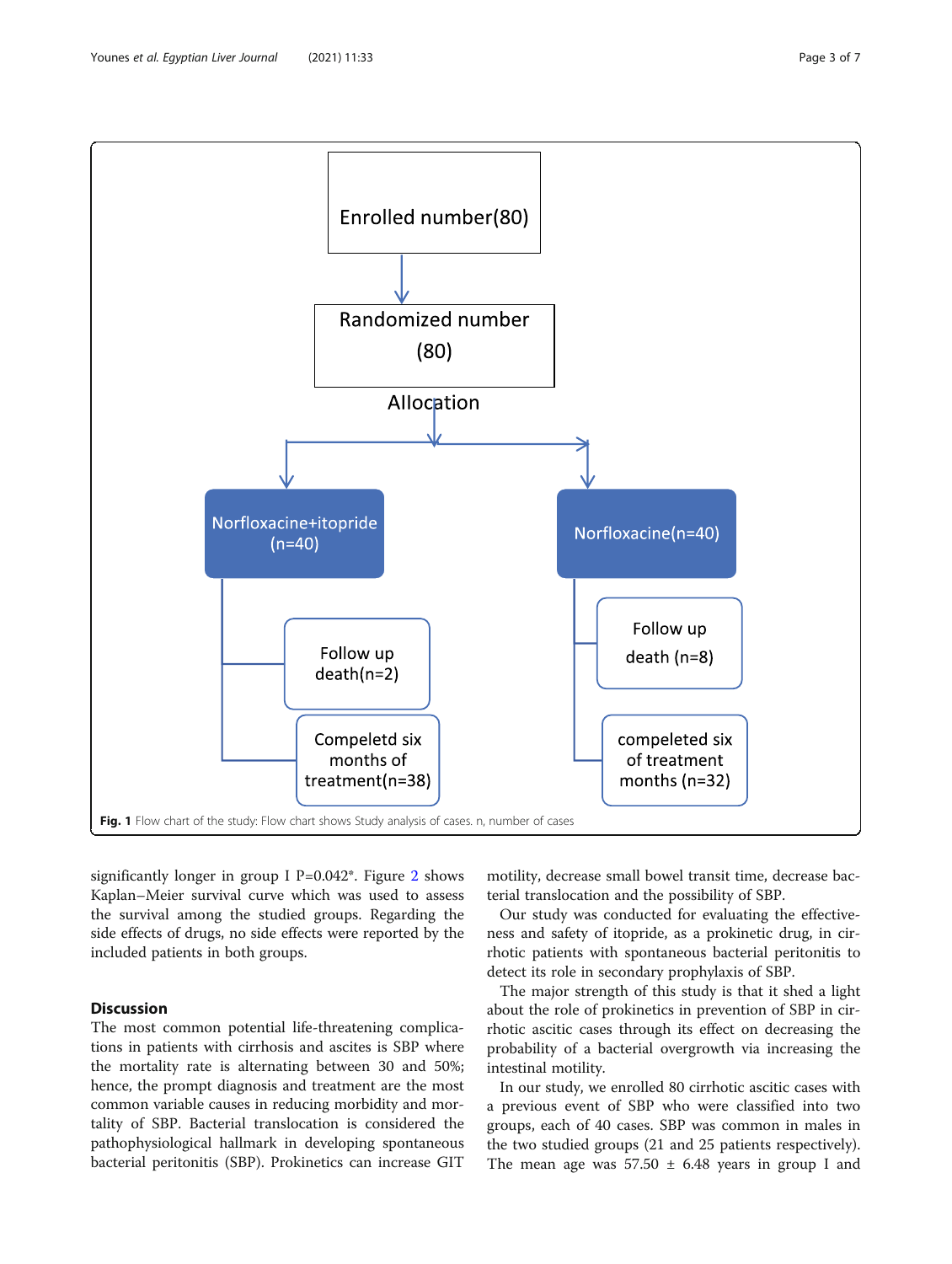significantly longer in group I  $P=0.042^*$  $P=0.042^*$  $P=0.042^*$ . Figure 2 shows Kaplan–Meier survival curve which was used to assess the survival among the studied groups. Regarding the side effects of drugs, no side effects were reported by the included patients in both groups.

# Discussion

The most common potential life-threatening complications in patients with cirrhosis and ascites is SBP where the mortality rate is alternating between 30 and 50%; hence, the prompt diagnosis and treatment are the most common variable causes in reducing morbidity and mortality of SBP. Bacterial translocation is considered the pathophysiological hallmark in developing spontaneous bacterial peritonitis (SBP). Prokinetics can increase GIT

motility, decrease small bowel transit time, decrease bacterial translocation and the possibility of SBP.

Our study was conducted for evaluating the effectiveness and safety of itopride, as a prokinetic drug, in cirrhotic patients with spontaneous bacterial peritonitis to detect its role in secondary prophylaxis of SBP.

The major strength of this study is that it shed a light about the role of prokinetics in prevention of SBP in cirrhotic ascitic cases through its effect on decreasing the probability of a bacterial overgrowth via increasing the intestinal motility.

In our study, we enrolled 80 cirrhotic ascitic cases with a previous event of SBP who were classified into two groups, each of 40 cases. SBP was common in males in the two studied groups (21 and 25 patients respectively). The mean age was  $57.50 \pm 6.48$  years in group I and

<span id="page-2-0"></span>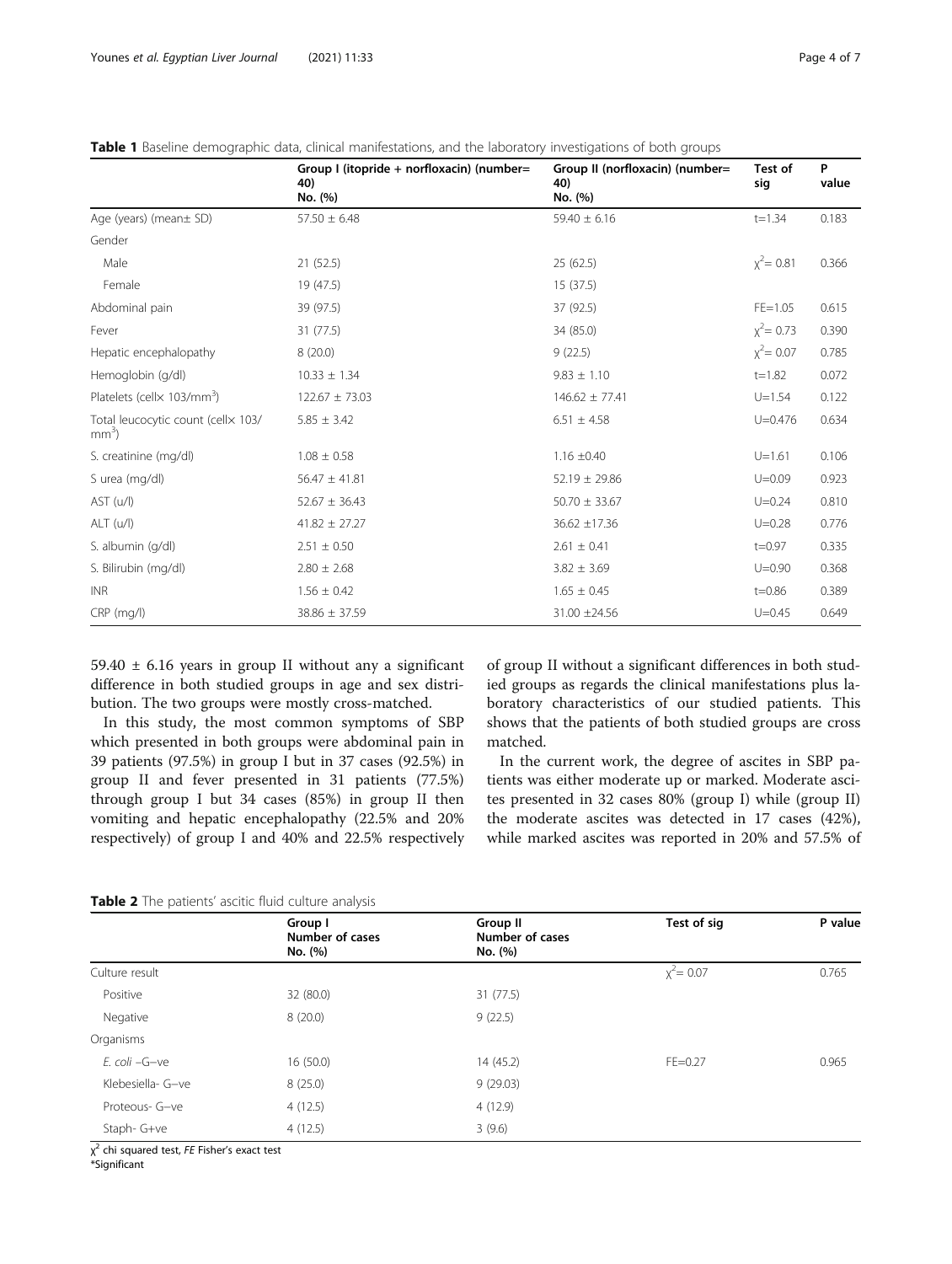|                                               | Group I (itopride + norfloxacin) (number=<br>40)<br>No. (%) | Group II (norfloxacin) (number=<br>40)<br>sig<br>No. (%) |              | P<br>Test of<br>value |
|-----------------------------------------------|-------------------------------------------------------------|----------------------------------------------------------|--------------|-----------------------|
| Age (years) (mean± SD)                        | $57.50 \pm 6.48$                                            | $59.40 \pm 6.16$                                         | $t = 1.34$   | 0.183                 |
| Gender                                        |                                                             |                                                          |              |                       |
| Male                                          | 21(52.5)                                                    | 25(62.5)                                                 | $x^2$ = 0.81 | 0.366                 |
| Female                                        | 19 (47.5)                                                   | 15(37.5)                                                 |              |                       |
| Abdominal pain                                | 39 (97.5)                                                   | 37 (92.5)                                                | $FE = 1.05$  | 0.615                 |
| Fever                                         | 31 (77.5)                                                   | 34 (85.0)                                                | $x^2$ = 0.73 | 0.390                 |
| Hepatic encephalopathy                        | 8(20.0)                                                     | 9(22.5)                                                  | $x^2$ = 0.07 | 0.785                 |
| Hemoglobin (g/dl)                             | $10.33 \pm 1.34$                                            | $9.83 \pm 1.10$                                          | $t = 1.82$   | 0.072                 |
| Platelets (cellx 103/mm <sup>3</sup> )        | $122.67 \pm 73.03$                                          | $146.62 \pm 77.41$                                       | $U = 1.54$   | 0.122                 |
| Total leucocytic count (cellx 103/<br>$mm3$ ) | $5.85 \pm 3.42$                                             | $6.51 \pm 4.58$                                          | $U = 0.476$  | 0.634                 |
| S. creatinine (mg/dl)                         | $1.08 \pm 0.58$                                             | $1.16 \pm 0.40$                                          | $U = 1.61$   | 0.106                 |
| S urea (mg/dl)                                | $56.47 \pm 41.81$                                           | $52.19 \pm 29.86$                                        | $U = 0.09$   | 0.923                 |
| AST (u/l)                                     | $52.67 \pm 36.43$                                           | $50.70 \pm 33.67$                                        | $U = 0.24$   | 0.810                 |
| ALT (u/l)                                     | $41.82 \pm 27.27$                                           | $36.62 \pm 17.36$                                        | $U = 0.28$   | 0.776                 |
| S. albumin (g/dl)                             | $2.51 \pm 0.50$                                             | $2.61 \pm 0.41$                                          | $t = 0.97$   | 0.335                 |
| S. Bilirubin (mg/dl)                          | $2.80 \pm 2.68$                                             | $3.82 \pm 3.69$                                          | $U = 0.90$   | 0.368                 |
| <b>INR</b>                                    | $1.56 \pm 0.42$                                             | $1.65 \pm 0.45$                                          | $t = 0.86$   | 0.389                 |
| $CRP$ (mg/l)                                  | $38.86 \pm 37.59$                                           | 31.00 ±24.56                                             | $U = 0.45$   | 0.649                 |

<span id="page-3-0"></span>Table 1 Baseline demographic data, clinical manifestations, and the laboratory investigations of both groups

59.40  $\pm$  6.16 years in group II without any a significant difference in both studied groups in age and sex distribution. The two groups were mostly cross-matched.

In this study, the most common symptoms of SBP which presented in both groups were abdominal pain in 39 patients (97.5%) in group I but in 37 cases (92.5%) in group II and fever presented in 31 patients (77.5%) through group I but 34 cases (85%) in group II then vomiting and hepatic encephalopathy (22.5% and 20% respectively) of group I and 40% and 22.5% respectively

of group II without a significant differences in both studied groups as regards the clinical manifestations plus laboratory characteristics of our studied patients. This shows that the patients of both studied groups are cross matched.

In the current work, the degree of ascites in SBP patients was either moderate up or marked. Moderate ascites presented in 32 cases 80% (group I) while (group II) the moderate ascites was detected in 17 cases (42%), while marked ascites was reported in 20% and 57.5% of

|  |  |  |  | Table 2 The patients' ascitic fluid culture analysis |  |
|--|--|--|--|------------------------------------------------------|--|
|--|--|--|--|------------------------------------------------------|--|

|                   | Group I<br>Number of cases<br>No. (%) | Group II<br>Number of cases<br>No. (%) | Test of sig  | P value |
|-------------------|---------------------------------------|----------------------------------------|--------------|---------|
| Culture result    |                                       |                                        | $x^2$ = 0.07 | 0.765   |
| Positive          | 32 (80.0)                             | 31(77.5)                               |              |         |
| Negative          | 8(20.0)                               | 9(22.5)                                |              |         |
| Organisms         |                                       |                                        |              |         |
| E. coli -G-ve     | 16(50.0)                              | 14 (45.2)                              | $FE = 0.27$  | 0.965   |
| Klebesiella- G-ve | 8(25.0)                               | 9(29.03)                               |              |         |
| Proteous- G-ve    | 4(12.5)                               | 4(12.9)                                |              |         |
| Staph- G+ve       | 4(12.5)                               | 3(9.6)                                 |              |         |

χ<sup>2</sup> chi squared test, FE Fisher's exact test<br>\*Significant

\*Significant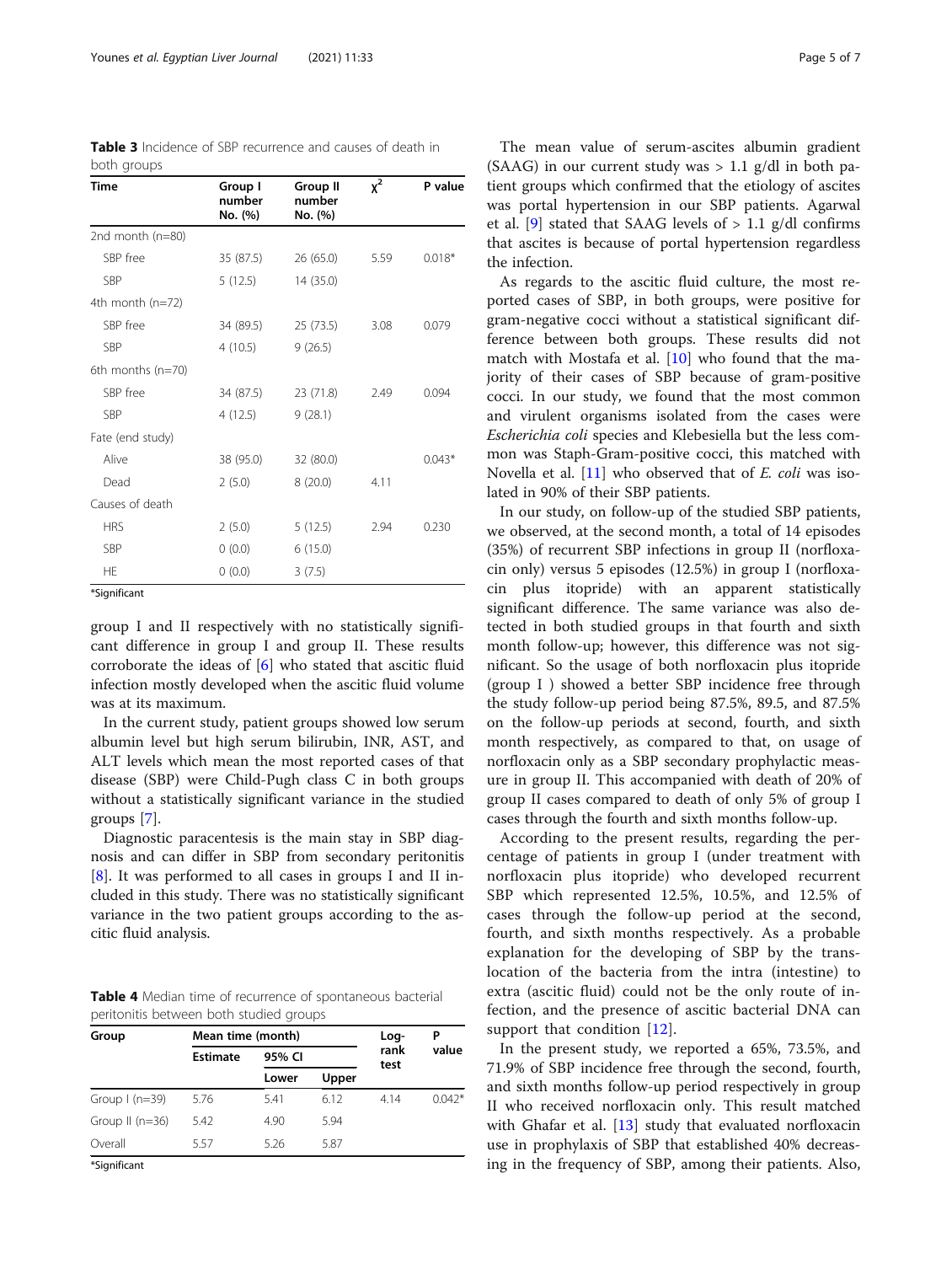<span id="page-4-0"></span>

| <b>Table 3</b> Incidence of SBP recurrence and causes of death in |  |
|-------------------------------------------------------------------|--|
| both groups                                                       |  |

| Time                | Group I<br>number<br>No. (%) | Group II<br>number<br>No. (%) | $x^2$ | P value  |
|---------------------|------------------------------|-------------------------------|-------|----------|
| 2nd month (n=80)    |                              |                               |       |          |
| SBP free            | 35 (87.5)                    | 26(65.0)                      | 5.59  | $0.018*$ |
| SBP                 | 5(12.5)                      | 14 (35.0)                     |       |          |
| 4th month $(n=72)$  |                              |                               |       |          |
| SBP free            | 34 (89.5)                    | 25(73.5)                      | 3.08  | 0.079    |
| SBP                 | 4(10.5)                      | 9(26.5)                       |       |          |
| 6th months $(n=70)$ |                              |                               |       |          |
| SBP free            | 34 (87.5)                    | 23 (71.8)                     | 2.49  | 0.094    |
| SBP                 | 4(12.5)                      | 9(28.1)                       |       |          |
| Fate (end study)    |                              |                               |       |          |
| Alive               | 38 (95.0)                    | 32 (80.0)                     |       | $0.043*$ |
| Dead                | 2(5.0)                       | 8(20.0)                       | 4.11  |          |
| Causes of death     |                              |                               |       |          |
| <b>HRS</b>          | 2(5.0)                       | 5(12.5)                       | 2.94  | 0.230    |
| SBP                 | 0(0.0)                       | 6(15.0)                       |       |          |
| <b>HE</b>           | 0(0.0)                       | 3(7.5)                        |       |          |

\*Significant

group I and II respectively with no statistically significant difference in group I and group II. These results corroborate the ideas of [\[6](#page-6-0)] who stated that ascitic fluid infection mostly developed when the ascitic fluid volume was at its maximum.

In the current study, patient groups showed low serum albumin level but high serum bilirubin, INR, AST, and ALT levels which mean the most reported cases of that disease (SBP) were Child-Pugh class C in both groups without a statistically significant variance in the studied groups [[7\]](#page-6-0).

Diagnostic paracentesis is the main stay in SBP diagnosis and can differ in SBP from secondary peritonitis [[8\]](#page-6-0). It was performed to all cases in groups I and II included in this study. There was no statistically significant variance in the two patient groups according to the ascitic fluid analysis.

Table 4 Median time of recurrence of spontaneous bacterial peritonitis between both studied groups

| Mean time (month) |        |       | Log- | Р            |
|-------------------|--------|-------|------|--------------|
| <b>Estimate</b>   | 95% CI |       |      | value        |
|                   | Lower  | Upper |      |              |
| 5.76              | 5.41   | 6.12  | 4.14 | $0.042*$     |
| 5.42              | 4.90   | 5.94  |      |              |
| 5.57              | 5.26   | 5.87  |      |              |
|                   |        |       |      | rank<br>test |

\*Significant

The mean value of serum-ascites albumin gradient (SAAG) in our current study was  $> 1.1$  g/dl in both patient groups which confirmed that the etiology of ascites was portal hypertension in our SBP patients. Agarwal et al. [[9\]](#page-6-0) stated that SAAG levels of  $> 1.1$  g/dl confirms that ascites is because of portal hypertension regardless the infection.

As regards to the ascitic fluid culture, the most reported cases of SBP, in both groups, were positive for gram-negative cocci without a statistical significant difference between both groups. These results did not match with Mostafa et al. [\[10\]](#page-6-0) who found that the majority of their cases of SBP because of gram-positive cocci. In our study, we found that the most common and virulent organisms isolated from the cases were Escherichia coli species and Klebesiella but the less common was Staph-Gram-positive cocci, this matched with Novella et al. [[11](#page-6-0)] who observed that of E. coli was isolated in 90% of their SBP patients.

In our study, on follow-up of the studied SBP patients, we observed, at the second month, a total of 14 episodes (35%) of recurrent SBP infections in group II (norfloxacin only) versus 5 episodes (12.5%) in group I (norfloxacin plus itopride) with an apparent statistically significant difference. The same variance was also detected in both studied groups in that fourth and sixth month follow-up; however, this difference was not significant. So the usage of both norfloxacin plus itopride (group I ) showed a better SBP incidence free through the study follow-up period being 87.5%, 89.5, and 87.5% on the follow-up periods at second, fourth, and sixth month respectively, as compared to that, on usage of norfloxacin only as a SBP secondary prophylactic measure in group II. This accompanied with death of 20% of group II cases compared to death of only 5% of group I cases through the fourth and sixth months follow-up.

According to the present results, regarding the percentage of patients in group I (under treatment with norfloxacin plus itopride) who developed recurrent SBP which represented 12.5%, 10.5%, and 12.5% of cases through the follow-up period at the second, fourth, and sixth months respectively. As a probable explanation for the developing of SBP by the translocation of the bacteria from the intra (intestine) to extra (ascitic fluid) could not be the only route of infection, and the presence of ascitic bacterial DNA can support that condition [[12](#page-6-0)].

In the present study, we reported a 65%, 73.5%, and 71.9% of SBP incidence free through the second, fourth, and sixth months follow-up period respectively in group II who received norfloxacin only. This result matched with Ghafar et al. [[13\]](#page-6-0) study that evaluated norfloxacin use in prophylaxis of SBP that established 40% decreasing in the frequency of SBP, among their patients. Also,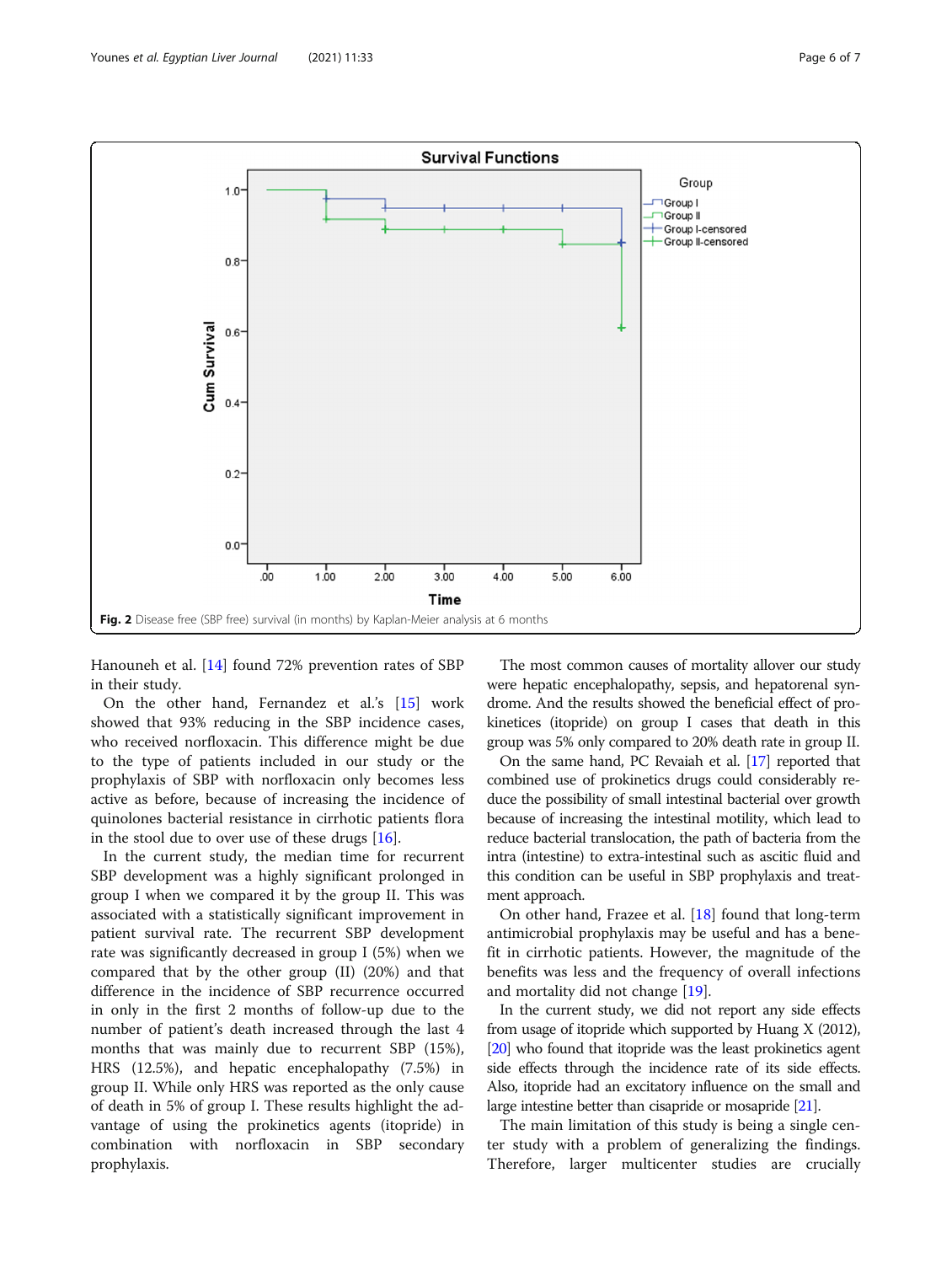<span id="page-5-0"></span>

Hanouneh et al. [\[14](#page-6-0)] found 72% prevention rates of SBP in their study.

On the other hand, Fernandez et al.'s [\[15](#page-6-0)] work showed that 93% reducing in the SBP incidence cases, who received norfloxacin. This difference might be due to the type of patients included in our study or the prophylaxis of SBP with norfloxacin only becomes less active as before, because of increasing the incidence of quinolones bacterial resistance in cirrhotic patients flora in the stool due to over use of these drugs  $[16]$  $[16]$ .

In the current study, the median time for recurrent SBP development was a highly significant prolonged in group I when we compared it by the group II. This was associated with a statistically significant improvement in patient survival rate. The recurrent SBP development rate was significantly decreased in group I (5%) when we compared that by the other group (II) (20%) and that difference in the incidence of SBP recurrence occurred in only in the first 2 months of follow-up due to the number of patient's death increased through the last 4 months that was mainly due to recurrent SBP (15%), HRS (12.5%), and hepatic encephalopathy (7.5%) in group II. While only HRS was reported as the only cause of death in 5% of group I. These results highlight the advantage of using the prokinetics agents (itopride) in combination with norfloxacin in SBP secondary prophylaxis.

The most common causes of mortality allover our study were hepatic encephalopathy, sepsis, and hepatorenal syndrome. And the results showed the beneficial effect of prokinetices (itopride) on group I cases that death in this group was 5% only compared to 20% death rate in group II.

On the same hand, PC Revaiah et al. [\[17](#page-6-0)] reported that combined use of prokinetics drugs could considerably reduce the possibility of small intestinal bacterial over growth because of increasing the intestinal motility, which lead to reduce bacterial translocation, the path of bacteria from the intra (intestine) to extra-intestinal such as ascitic fluid and this condition can be useful in SBP prophylaxis and treatment approach.

On other hand, Frazee et al. [\[18](#page-6-0)] found that long-term antimicrobial prophylaxis may be useful and has a benefit in cirrhotic patients. However, the magnitude of the benefits was less and the frequency of overall infections and mortality did not change [\[19\]](#page-6-0).

In the current study, we did not report any side effects from usage of itopride which supported by Huang X (2012), [[20\]](#page-6-0) who found that itopride was the least prokinetics agent side effects through the incidence rate of its side effects. Also, itopride had an excitatory influence on the small and large intestine better than cisapride or mosapride [[21\]](#page-6-0).

The main limitation of this study is being a single center study with a problem of generalizing the findings. Therefore, larger multicenter studies are crucially